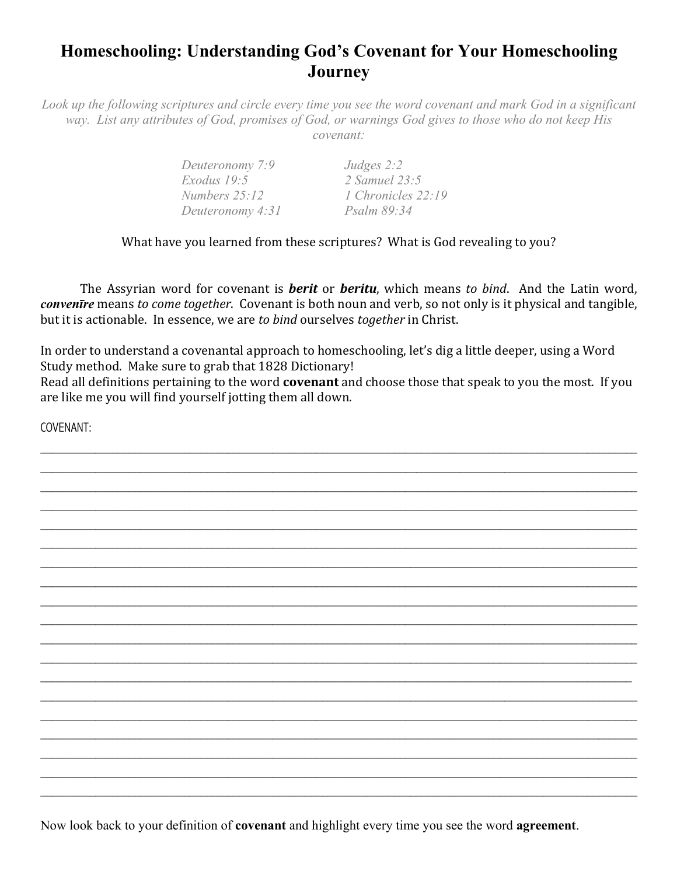## **Homeschooling: Understanding God's Covenant for Your Homeschooling Journey**

Look up the following scriptures and circle every time you see the word covenant and mark God in a significant *way. List any attributes of God, promises of God, or warnings God gives to those who do not keep His covenant:*

> *Deuteronomy 7:9 Exodus 19:5 Numbers 25:12 Deuteronomy 4:31 Judges 2:2 2 Samuel 23:5 1 Chronicles 22:19 Psalm 89:34*

What have you learned from these scriptures? What is God revealing to you?

The Assyrian word for covenant is *berit* or *beritu*, which means to bind. And the Latin word, *convenīre* means *to come together*. Covenant is both noun and verb, so not only is it physical and tangible, but it is actionable. In essence, we are *to bind* ourselves *together* in Christ.

In order to understand a covenantal approach to homeschooling, let's dig a little deeper, using a Word Study method. Make sure to grab that 1828 Dictionary!

Read all definitions pertaining to the word **covenant** and choose those that speak to you the most. If you are like me you will find yourself jotting them all down.

\_\_\_\_\_\_\_\_\_\_\_\_\_\_\_\_\_\_\_\_\_\_\_\_\_\_\_\_\_\_\_\_\_\_\_\_\_\_\_\_\_\_\_\_\_\_\_\_\_\_\_\_\_\_\_\_\_\_\_\_\_\_\_\_\_\_\_\_\_\_\_\_\_\_\_\_\_\_\_\_\_\_\_\_\_\_\_\_\_\_\_\_\_\_\_\_\_\_\_\_\_\_\_\_\_\_\_\_ \_\_\_\_\_\_\_\_\_\_\_\_\_\_\_\_\_\_\_\_\_\_\_\_\_\_\_\_\_\_\_\_\_\_\_\_\_\_\_\_\_\_\_\_\_\_\_\_\_\_\_\_\_\_\_\_\_\_\_\_\_\_\_\_\_\_\_\_\_\_\_\_\_\_\_\_\_\_\_\_\_\_\_\_\_\_\_\_\_\_\_\_\_\_\_\_\_\_\_\_\_\_\_\_\_\_\_\_ \_\_\_\_\_\_\_\_\_\_\_\_\_\_\_\_\_\_\_\_\_\_\_\_\_\_\_\_\_\_\_\_\_\_\_\_\_\_\_\_\_\_\_\_\_\_\_\_\_\_\_\_\_\_\_\_\_\_\_\_\_\_\_\_\_\_\_\_\_\_\_\_\_\_\_\_\_\_\_\_\_\_\_\_\_\_\_\_\_\_\_\_\_\_\_\_\_\_\_\_\_\_\_\_\_\_\_\_ \_\_\_\_\_\_\_\_\_\_\_\_\_\_\_\_\_\_\_\_\_\_\_\_\_\_\_\_\_\_\_\_\_\_\_\_\_\_\_\_\_\_\_\_\_\_\_\_\_\_\_\_\_\_\_\_\_\_\_\_\_\_\_\_\_\_\_\_\_\_\_\_\_\_\_\_\_\_\_\_\_\_\_\_\_\_\_\_\_\_\_\_\_\_\_\_\_\_\_\_\_\_\_\_\_\_\_\_ \_\_\_\_\_\_\_\_\_\_\_\_\_\_\_\_\_\_\_\_\_\_\_\_\_\_\_\_\_\_\_\_\_\_\_\_\_\_\_\_\_\_\_\_\_\_\_\_\_\_\_\_\_\_\_\_\_\_\_\_\_\_\_\_\_\_\_\_\_\_\_\_\_\_\_\_\_\_\_\_\_\_\_\_\_\_\_\_\_\_\_\_\_\_\_\_\_\_\_\_\_\_\_\_\_\_\_\_ \_\_\_\_\_\_\_\_\_\_\_\_\_\_\_\_\_\_\_\_\_\_\_\_\_\_\_\_\_\_\_\_\_\_\_\_\_\_\_\_\_\_\_\_\_\_\_\_\_\_\_\_\_\_\_\_\_\_\_\_\_\_\_\_\_\_\_\_\_\_\_\_\_\_\_\_\_\_\_\_\_\_\_\_\_\_\_\_\_\_\_\_\_\_\_\_\_\_\_\_\_\_\_\_\_\_\_\_ \_\_\_\_\_\_\_\_\_\_\_\_\_\_\_\_\_\_\_\_\_\_\_\_\_\_\_\_\_\_\_\_\_\_\_\_\_\_\_\_\_\_\_\_\_\_\_\_\_\_\_\_\_\_\_\_\_\_\_\_\_\_\_\_\_\_\_\_\_\_\_\_\_\_\_\_\_\_\_\_\_\_\_\_\_\_\_\_\_\_\_\_\_\_\_\_\_\_\_\_\_\_\_\_\_\_\_\_ \_\_\_\_\_\_\_\_\_\_\_\_\_\_\_\_\_\_\_\_\_\_\_\_\_\_\_\_\_\_\_\_\_\_\_\_\_\_\_\_\_\_\_\_\_\_\_\_\_\_\_\_\_\_\_\_\_\_\_\_\_\_\_\_\_\_\_\_\_\_\_\_\_\_\_\_\_\_\_\_\_\_\_\_\_\_\_\_\_\_\_\_\_\_\_\_\_\_\_\_\_\_\_\_\_\_\_\_ \_\_\_\_\_\_\_\_\_\_\_\_\_\_\_\_\_\_\_\_\_\_\_\_\_\_\_\_\_\_\_\_\_\_\_\_\_\_\_\_\_\_\_\_\_\_\_\_\_\_\_\_\_\_\_\_\_\_\_\_\_\_\_\_\_\_\_\_\_\_\_\_\_\_\_\_\_\_\_\_\_\_\_\_\_\_\_\_\_\_\_\_\_\_\_\_\_\_\_\_\_\_\_\_\_\_\_\_ \_\_\_\_\_\_\_\_\_\_\_\_\_\_\_\_\_\_\_\_\_\_\_\_\_\_\_\_\_\_\_\_\_\_\_\_\_\_\_\_\_\_\_\_\_\_\_\_\_\_\_\_\_\_\_\_\_\_\_\_\_\_\_\_\_\_\_\_\_\_\_\_\_\_\_\_\_\_\_\_\_\_\_\_\_\_\_\_\_\_\_\_\_\_\_\_\_\_\_\_\_\_\_\_\_\_\_\_ \_\_\_\_\_\_\_\_\_\_\_\_\_\_\_\_\_\_\_\_\_\_\_\_\_\_\_\_\_\_\_\_\_\_\_\_\_\_\_\_\_\_\_\_\_\_\_\_\_\_\_\_\_\_\_\_\_\_\_\_\_\_\_\_\_\_\_\_\_\_\_\_\_\_\_\_\_\_\_\_\_\_\_\_\_\_\_\_\_\_\_\_\_\_\_\_\_\_\_\_\_\_\_\_\_\_\_\_ \_\_\_\_\_\_\_\_\_\_\_\_\_\_\_\_\_\_\_\_\_\_\_\_\_\_\_\_\_\_\_\_\_\_\_\_\_\_\_\_\_\_\_\_\_\_\_\_\_\_\_\_\_\_\_\_\_\_\_\_\_\_\_\_\_\_\_\_\_\_\_\_\_\_\_\_\_\_\_\_\_\_\_\_\_\_\_\_\_\_\_\_\_\_\_\_\_\_\_\_\_\_\_\_\_\_\_\_ \_\_\_\_\_\_\_\_\_\_\_\_\_\_\_\_\_\_\_\_\_\_\_\_\_\_\_\_\_\_\_\_\_\_\_\_\_\_\_\_\_\_\_\_\_\_\_\_\_\_\_\_\_\_\_\_\_\_\_\_\_\_\_\_\_\_\_\_\_\_\_\_\_\_\_\_\_\_\_\_\_\_\_\_\_\_\_\_\_\_\_\_\_\_\_\_\_\_\_\_\_\_\_\_\_\_\_ \_\_\_\_\_\_\_\_\_\_\_\_\_\_\_\_\_\_\_\_\_\_\_\_\_\_\_\_\_\_\_\_\_\_\_\_\_\_\_\_\_\_\_\_\_\_\_\_\_\_\_\_\_\_\_\_\_\_\_\_\_\_\_\_\_\_\_\_\_\_\_\_\_\_\_\_\_\_\_\_\_\_\_\_\_\_\_\_\_\_\_\_\_\_\_\_\_\_\_\_\_\_\_\_\_\_\_\_ \_\_\_\_\_\_\_\_\_\_\_\_\_\_\_\_\_\_\_\_\_\_\_\_\_\_\_\_\_\_\_\_\_\_\_\_\_\_\_\_\_\_\_\_\_\_\_\_\_\_\_\_\_\_\_\_\_\_\_\_\_\_\_\_\_\_\_\_\_\_\_\_\_\_\_\_\_\_\_\_\_\_\_\_\_\_\_\_\_\_\_\_\_\_\_\_\_\_\_\_\_\_\_\_\_\_\_\_ \_\_\_\_\_\_\_\_\_\_\_\_\_\_\_\_\_\_\_\_\_\_\_\_\_\_\_\_\_\_\_\_\_\_\_\_\_\_\_\_\_\_\_\_\_\_\_\_\_\_\_\_\_\_\_\_\_\_\_\_\_\_\_\_\_\_\_\_\_\_\_\_\_\_\_\_\_\_\_\_\_\_\_\_\_\_\_\_\_\_\_\_\_\_\_\_\_\_\_\_\_\_\_\_\_\_\_\_ \_\_\_\_\_\_\_\_\_\_\_\_\_\_\_\_\_\_\_\_\_\_\_\_\_\_\_\_\_\_\_\_\_\_\_\_\_\_\_\_\_\_\_\_\_\_\_\_\_\_\_\_\_\_\_\_\_\_\_\_\_\_\_\_\_\_\_\_\_\_\_\_\_\_\_\_\_\_\_\_\_\_\_\_\_\_\_\_\_\_\_\_\_\_\_\_\_\_\_\_\_\_\_\_\_\_\_\_ \_\_\_\_\_\_\_\_\_\_\_\_\_\_\_\_\_\_\_\_\_\_\_\_\_\_\_\_\_\_\_\_\_\_\_\_\_\_\_\_\_\_\_\_\_\_\_\_\_\_\_\_\_\_\_\_\_\_\_\_\_\_\_\_\_\_\_\_\_\_\_\_\_\_\_\_\_\_\_\_\_\_\_\_\_\_\_\_\_\_\_\_\_\_\_\_\_\_\_\_\_\_\_\_\_\_\_\_ \_\_\_\_\_\_\_\_\_\_\_\_\_\_\_\_\_\_\_\_\_\_\_\_\_\_\_\_\_\_\_\_\_\_\_\_\_\_\_\_\_\_\_\_\_\_\_\_\_\_\_\_\_\_\_\_\_\_\_\_\_\_\_\_\_\_\_\_\_\_\_\_\_\_\_\_\_\_\_\_\_\_\_\_\_\_\_\_\_\_\_\_\_\_\_\_\_\_\_\_\_\_\_\_\_\_\_\_

COVENANT:

Now look back to your definition of **covenant** and highlight every time you see the word **agreement**.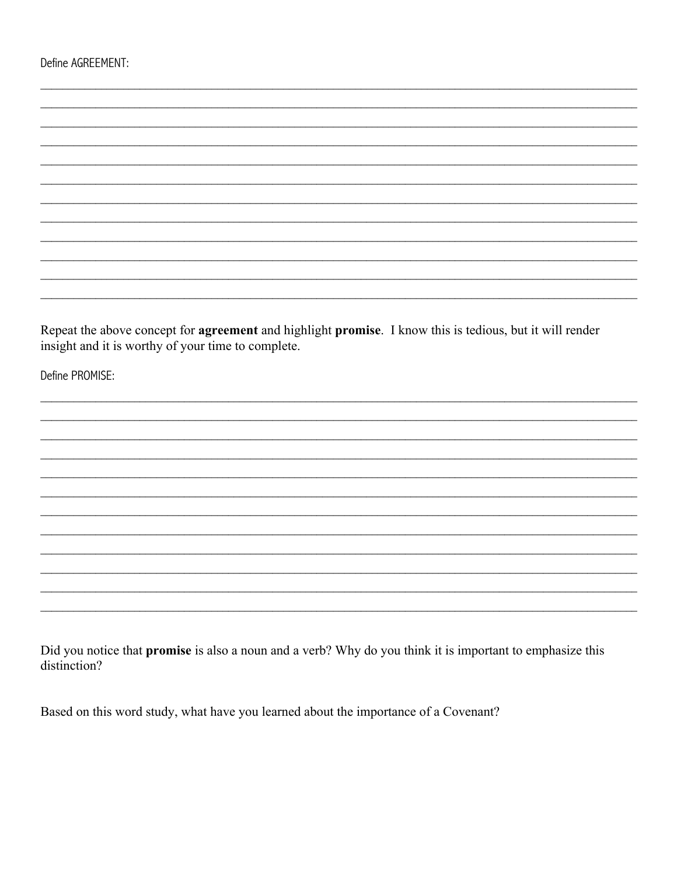Repeat the above concept for agreement and highlight promise. I know this is tedious, but it will render insight and it is worthy of your time to complete.

Define PROMISE:

Did you notice that promise is also a noun and a verb? Why do you think it is important to emphasize this distinction?

Based on this word study, what have you learned about the importance of a Covenant?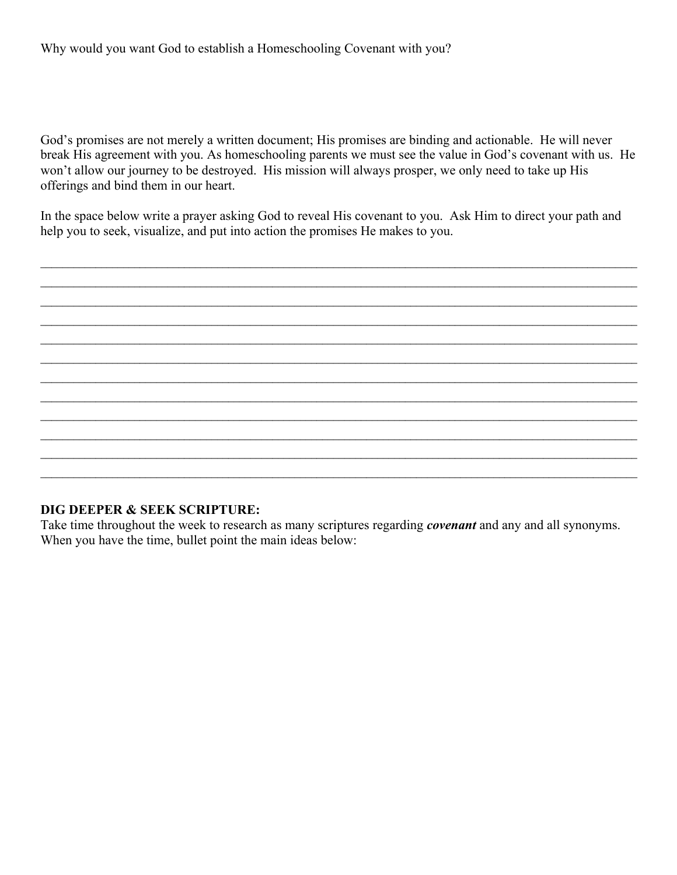God's promises are not merely a written document; His promises are binding and actionable. He will never break His agreement with you. As homeschooling parents we must see the value in God's covenant with us. He won't allow our journey to be destroyed. His mission will always prosper, we only need to take up His offerings and bind them in our heart.

In the space below write a prayer asking God to reveal His covenant to you. Ask Him to direct your path and help you to seek, visualize, and put into action the promises He makes to you.

\_\_\_\_\_\_\_\_\_\_\_\_\_\_\_\_\_\_\_\_\_\_\_\_\_\_\_\_\_\_\_\_\_\_\_\_\_\_\_\_\_\_\_\_\_\_\_\_\_\_\_\_\_\_\_\_\_\_\_\_\_\_\_\_\_\_\_\_\_\_\_\_\_\_\_\_\_\_\_\_\_\_\_\_\_\_\_\_\_\_\_\_\_\_\_\_\_\_\_\_\_\_\_\_\_\_\_\_ \_\_\_\_\_\_\_\_\_\_\_\_\_\_\_\_\_\_\_\_\_\_\_\_\_\_\_\_\_\_\_\_\_\_\_\_\_\_\_\_\_\_\_\_\_\_\_\_\_\_\_\_\_\_\_\_\_\_\_\_\_\_\_\_\_\_\_\_\_\_\_\_\_\_\_\_\_\_\_\_\_\_\_\_\_\_\_\_\_\_\_\_\_\_\_\_\_\_\_\_\_\_\_\_\_\_\_\_ \_\_\_\_\_\_\_\_\_\_\_\_\_\_\_\_\_\_\_\_\_\_\_\_\_\_\_\_\_\_\_\_\_\_\_\_\_\_\_\_\_\_\_\_\_\_\_\_\_\_\_\_\_\_\_\_\_\_\_\_\_\_\_\_\_\_\_\_\_\_\_\_\_\_\_\_\_\_\_\_\_\_\_\_\_\_\_\_\_\_\_\_\_\_\_\_\_\_\_\_\_\_\_\_\_\_\_\_ \_\_\_\_\_\_\_\_\_\_\_\_\_\_\_\_\_\_\_\_\_\_\_\_\_\_\_\_\_\_\_\_\_\_\_\_\_\_\_\_\_\_\_\_\_\_\_\_\_\_\_\_\_\_\_\_\_\_\_\_\_\_\_\_\_\_\_\_\_\_\_\_\_\_\_\_\_\_\_\_\_\_\_\_\_\_\_\_\_\_\_\_\_\_\_\_\_\_\_\_\_\_\_\_\_\_\_\_ \_\_\_\_\_\_\_\_\_\_\_\_\_\_\_\_\_\_\_\_\_\_\_\_\_\_\_\_\_\_\_\_\_\_\_\_\_\_\_\_\_\_\_\_\_\_\_\_\_\_\_\_\_\_\_\_\_\_\_\_\_\_\_\_\_\_\_\_\_\_\_\_\_\_\_\_\_\_\_\_\_\_\_\_\_\_\_\_\_\_\_\_\_\_\_\_\_\_\_\_\_\_\_\_\_\_\_\_ \_\_\_\_\_\_\_\_\_\_\_\_\_\_\_\_\_\_\_\_\_\_\_\_\_\_\_\_\_\_\_\_\_\_\_\_\_\_\_\_\_\_\_\_\_\_\_\_\_\_\_\_\_\_\_\_\_\_\_\_\_\_\_\_\_\_\_\_\_\_\_\_\_\_\_\_\_\_\_\_\_\_\_\_\_\_\_\_\_\_\_\_\_\_\_\_\_\_\_\_\_\_\_\_\_\_\_\_ \_\_\_\_\_\_\_\_\_\_\_\_\_\_\_\_\_\_\_\_\_\_\_\_\_\_\_\_\_\_\_\_\_\_\_\_\_\_\_\_\_\_\_\_\_\_\_\_\_\_\_\_\_\_\_\_\_\_\_\_\_\_\_\_\_\_\_\_\_\_\_\_\_\_\_\_\_\_\_\_\_\_\_\_\_\_\_\_\_\_\_\_\_\_\_\_\_\_\_\_\_\_\_\_\_\_\_\_ \_\_\_\_\_\_\_\_\_\_\_\_\_\_\_\_\_\_\_\_\_\_\_\_\_\_\_\_\_\_\_\_\_\_\_\_\_\_\_\_\_\_\_\_\_\_\_\_\_\_\_\_\_\_\_\_\_\_\_\_\_\_\_\_\_\_\_\_\_\_\_\_\_\_\_\_\_\_\_\_\_\_\_\_\_\_\_\_\_\_\_\_\_\_\_\_\_\_\_\_\_\_\_\_\_\_\_\_ \_\_\_\_\_\_\_\_\_\_\_\_\_\_\_\_\_\_\_\_\_\_\_\_\_\_\_\_\_\_\_\_\_\_\_\_\_\_\_\_\_\_\_\_\_\_\_\_\_\_\_\_\_\_\_\_\_\_\_\_\_\_\_\_\_\_\_\_\_\_\_\_\_\_\_\_\_\_\_\_\_\_\_\_\_\_\_\_\_\_\_\_\_\_\_\_\_\_\_\_\_\_\_\_\_\_\_\_ \_\_\_\_\_\_\_\_\_\_\_\_\_\_\_\_\_\_\_\_\_\_\_\_\_\_\_\_\_\_\_\_\_\_\_\_\_\_\_\_\_\_\_\_\_\_\_\_\_\_\_\_\_\_\_\_\_\_\_\_\_\_\_\_\_\_\_\_\_\_\_\_\_\_\_\_\_\_\_\_\_\_\_\_\_\_\_\_\_\_\_\_\_\_\_\_\_\_\_\_\_\_\_\_\_\_\_\_ \_\_\_\_\_\_\_\_\_\_\_\_\_\_\_\_\_\_\_\_\_\_\_\_\_\_\_\_\_\_\_\_\_\_\_\_\_\_\_\_\_\_\_\_\_\_\_\_\_\_\_\_\_\_\_\_\_\_\_\_\_\_\_\_\_\_\_\_\_\_\_\_\_\_\_\_\_\_\_\_\_\_\_\_\_\_\_\_\_\_\_\_\_\_\_\_\_\_\_\_\_\_\_\_\_\_\_\_ \_\_\_\_\_\_\_\_\_\_\_\_\_\_\_\_\_\_\_\_\_\_\_\_\_\_\_\_\_\_\_\_\_\_\_\_\_\_\_\_\_\_\_\_\_\_\_\_\_\_\_\_\_\_\_\_\_\_\_\_\_\_\_\_\_\_\_\_\_\_\_\_\_\_\_\_\_\_\_\_\_\_\_\_\_\_\_\_\_\_\_\_\_\_\_\_\_\_\_\_\_\_\_\_\_\_\_\_

## **DIG DEEPER & SEEK SCRIPTURE:**

Take time throughout the week to research as many scriptures regarding *covenant* and any and all synonyms. When you have the time, bullet point the main ideas below: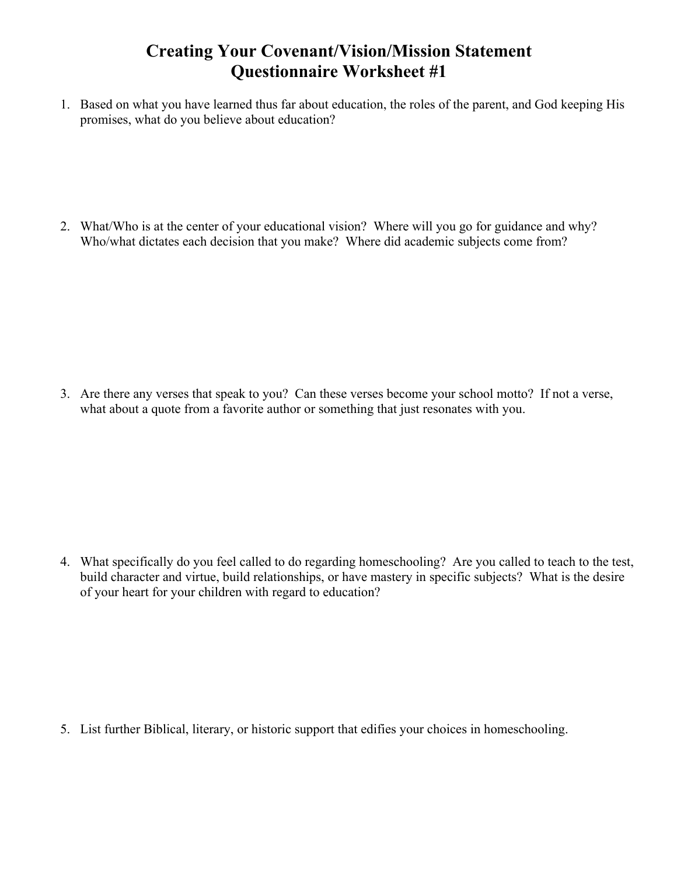## **Creating Your Covenant/Vision/Mission Statement Questionnaire Worksheet #1**

1. Based on what you have learned thus far about education, the roles of the parent, and God keeping His promises, what do you believe about education?

2. What/Who is at the center of your educational vision? Where will you go for guidance and why? Who/what dictates each decision that you make? Where did academic subjects come from?

3. Are there any verses that speak to you? Can these verses become your school motto? If not a verse, what about a quote from a favorite author or something that just resonates with you.

4. What specifically do you feel called to do regarding homeschooling? Are you called to teach to the test, build character and virtue, build relationships, or have mastery in specific subjects? What is the desire of your heart for your children with regard to education?

5. List further Biblical, literary, or historic support that edifies your choices in homeschooling.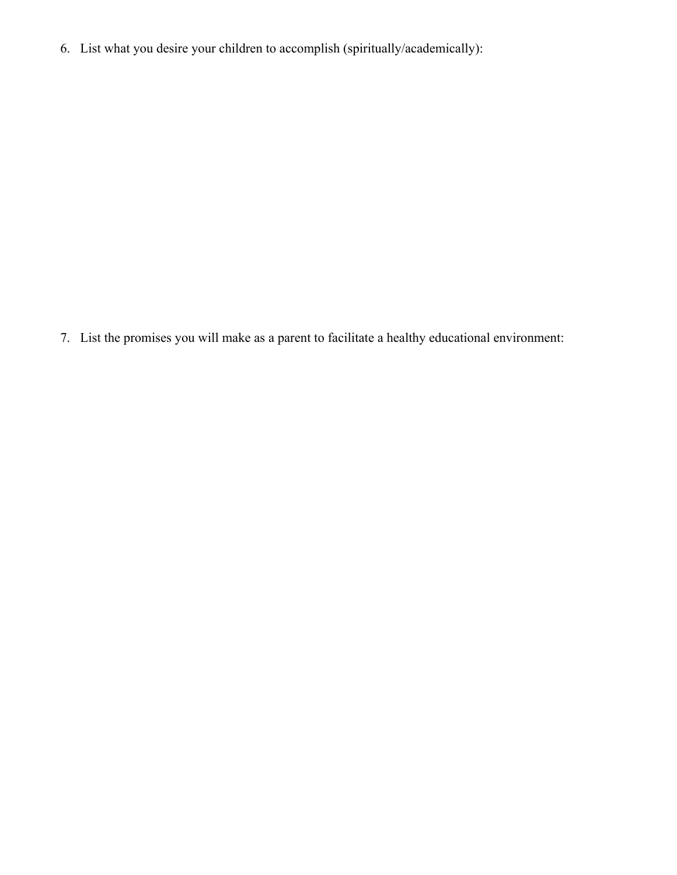6. List what you desire your children to accomplish (spiritually/academically):

7. List the promises you will make as a parent to facilitate a healthy educational environment: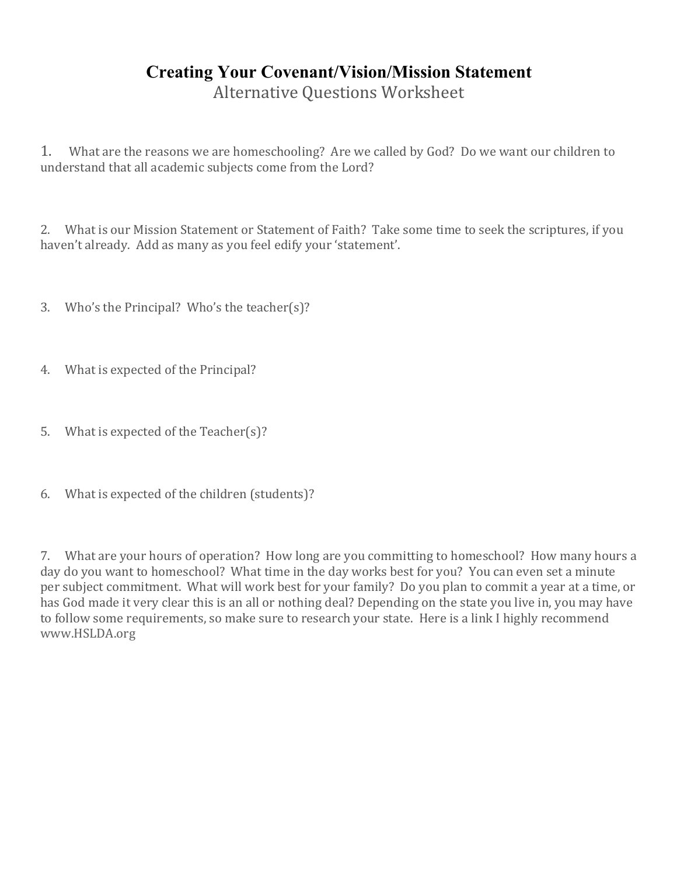## **Creating Your Covenant/Vision/Mission Statement**

Alternative Questions Worksheet

1. What are the reasons we are homeschooling? Are we called by God? Do we want our children to understand that all academic subjects come from the Lord?

2. What is our Mission Statement or Statement of Faith? Take some time to seek the scriptures, if you haven't already. Add as many as you feel edify your 'statement'.

- 3. Who's the Principal? Who's the teacher(s)?
- 4. What is expected of the Principal?
- 5. What is expected of the Teacher(s)?
- 6. What is expected of the children (students)?

7. What are your hours of operation? How long are you committing to homeschool? How many hours a day do you want to homeschool? What time in the day works best for you? You can even set a minute per subject commitment. What will work best for your family? Do you plan to commit a year at a time, or has God made it very clear this is an all or nothing deal? Depending on the state you live in, you may have to follow some requirements, so make sure to research your state. Here is a link I highly recommend www.HSLDA.org